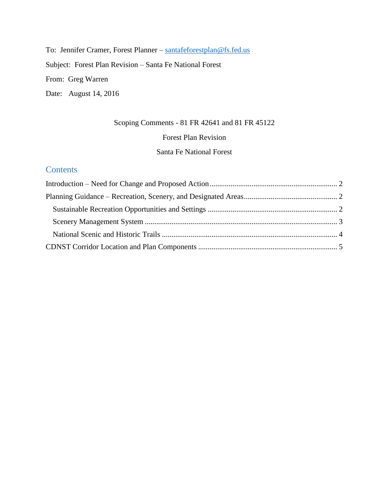To: Jennifer Cramer, Forest Planner – [santafeforestplan@fs.fed.us](mailto:santafeforestplan@fs.fed.us) Subject: Forest Plan Revision – Santa Fe National Forest From: Greg Warren Date: August 14, 2016

## Scoping Comments - 81 FR 42641 and 81 FR 45122

## Forest Plan Revision

Santa Fe National Forest

# **Contents**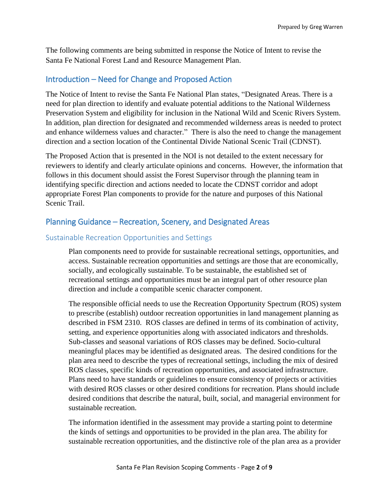The following comments are being submitted in response the Notice of Intent to revise the Santa Fe National Forest Land and Resource Management Plan.

## <span id="page-1-0"></span>Introduction – Need for Change and Proposed Action

The Notice of Intent to revise the Santa Fe National Plan states, "Designated Areas. There is a need for plan direction to identify and evaluate potential additions to the National Wilderness Preservation System and eligibility for inclusion in the National Wild and Scenic Rivers System. In addition, plan direction for designated and recommended wilderness areas is needed to protect and enhance wilderness values and character." There is also the need to change the management direction and a section location of the Continental Divide National Scenic Trail (CDNST).

The Proposed Action that is presented in the NOI is not detailed to the extent necessary for reviewers to identify and clearly articulate opinions and concerns. However, the information that follows in this document should assist the Forest Supervisor through the planning team in identifying specific direction and actions needed to locate the CDNST corridor and adopt appropriate Forest Plan components to provide for the nature and purposes of this National Scenic Trail.

## <span id="page-1-1"></span>Planning Guidance – Recreation, Scenery, and Designated Areas

## <span id="page-1-2"></span>Sustainable Recreation Opportunities and Settings

Plan components need to provide for sustainable recreational settings, opportunities, and access. Sustainable recreation opportunities and settings are those that are economically, socially, and ecologically sustainable. To be sustainable, the established set of recreational settings and opportunities must be an integral part of other resource plan direction and include a compatible scenic character component.

The responsible official needs to use the Recreation Opportunity Spectrum (ROS) system to prescribe (establish) outdoor recreation opportunities in land management planning as described in FSM 2310. ROS classes are defined in terms of its combination of activity, setting, and experience opportunities along with associated indicators and thresholds. Sub-classes and seasonal variations of ROS classes may be defined. Socio-cultural meaningful places may be identified as designated areas. The desired conditions for the plan area need to describe the types of recreational settings, including the mix of desired ROS classes, specific kinds of recreation opportunities, and associated infrastructure. Plans need to have standards or guidelines to ensure consistency of projects or activities with desired ROS classes or other desired conditions for recreation. Plans should include desired conditions that describe the natural, built, social, and managerial environment for sustainable recreation.

The information identified in the assessment may provide a starting point to determine the kinds of settings and opportunities to be provided in the plan area. The ability for sustainable recreation opportunities, and the distinctive role of the plan area as a provider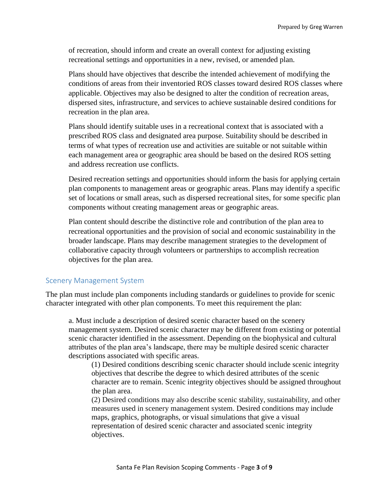of recreation, should inform and create an overall context for adjusting existing recreational settings and opportunities in a new, revised, or amended plan.

Plans should have objectives that describe the intended achievement of modifying the conditions of areas from their inventoried ROS classes toward desired ROS classes where applicable. Objectives may also be designed to alter the condition of recreation areas, dispersed sites, infrastructure, and services to achieve sustainable desired conditions for recreation in the plan area.

Plans should identify suitable uses in a recreational context that is associated with a prescribed ROS class and designated area purpose. Suitability should be described in terms of what types of recreation use and activities are suitable or not suitable within each management area or geographic area should be based on the desired ROS setting and address recreation use conflicts.

Desired recreation settings and opportunities should inform the basis for applying certain plan components to management areas or geographic areas. Plans may identify a specific set of locations or small areas, such as dispersed recreational sites, for some specific plan components without creating management areas or geographic areas.

Plan content should describe the distinctive role and contribution of the plan area to recreational opportunities and the provision of social and economic sustainability in the broader landscape. Plans may describe management strategies to the development of collaborative capacity through volunteers or partnerships to accomplish recreation objectives for the plan area.

### <span id="page-2-0"></span>Scenery Management System

The plan must include plan components including standards or guidelines to provide for scenic character integrated with other plan components. To meet this requirement the plan:

a. Must include a description of desired scenic character based on the scenery management system. Desired scenic character may be different from existing or potential scenic character identified in the assessment. Depending on the biophysical and cultural attributes of the plan area's landscape, there may be multiple desired scenic character descriptions associated with specific areas.

(1) Desired conditions describing scenic character should include scenic integrity objectives that describe the degree to which desired attributes of the scenic character are to remain. Scenic integrity objectives should be assigned throughout the plan area.

(2) Desired conditions may also describe scenic stability, sustainability, and other measures used in scenery management system. Desired conditions may include maps, graphics, photographs, or visual simulations that give a visual representation of desired scenic character and associated scenic integrity objectives.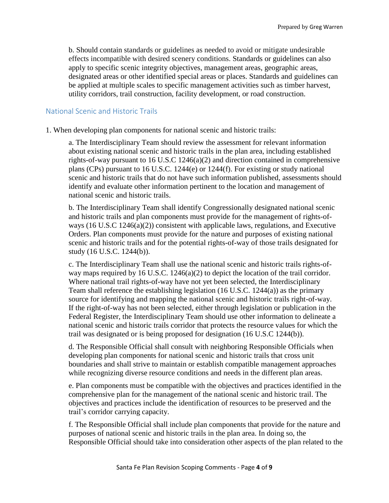b. Should contain standards or guidelines as needed to avoid or mitigate undesirable effects incompatible with desired scenery conditions. Standards or guidelines can also apply to specific scenic integrity objectives, management areas, geographic areas, designated areas or other identified special areas or places. Standards and guidelines can be applied at multiple scales to specific management activities such as timber harvest, utility corridors, trail construction, facility development, or road construction.

### <span id="page-3-0"></span>National Scenic and Historic Trails

1. When developing plan components for national scenic and historic trails:

a. The Interdisciplinary Team should review the assessment for relevant information about existing national scenic and historic trails in the plan area, including established rights-of-way pursuant to 16 U.S.C 1246(a)(2) and direction contained in comprehensive plans (CPs) pursuant to 16 U.S.C. 1244(e) or 1244(f). For existing or study national scenic and historic trails that do not have such information published, assessments should identify and evaluate other information pertinent to the location and management of national scenic and historic trails.

b. The Interdisciplinary Team shall identify Congressionally designated national scenic and historic trails and plan components must provide for the management of rights-ofways (16 U.S.C 1246(a)(2)) consistent with applicable laws, regulations, and Executive Orders. Plan components must provide for the nature and purposes of existing national scenic and historic trails and for the potential rights-of-way of those trails designated for study (16 U.S.C. 1244(b)).

c. The Interdisciplinary Team shall use the national scenic and historic trails rights-ofway maps required by 16 U.S.C. 1246(a)(2) to depict the location of the trail corridor. Where national trail rights-of-way have not yet been selected, the Interdisciplinary Team shall reference the establishing legislation (16 U.S.C. 1244(a)) as the primary source for identifying and mapping the national scenic and historic trails right-of-way. If the right-of-way has not been selected, either through legislation or publication in the Federal Register, the Interdisciplinary Team should use other information to delineate a national scenic and historic trails corridor that protects the resource values for which the trail was designated or is being proposed for designation (16 U.S.C 1244(b)).

d. The Responsible Official shall consult with neighboring Responsible Officials when developing plan components for national scenic and historic trails that cross unit boundaries and shall strive to maintain or establish compatible management approaches while recognizing diverse resource conditions and needs in the different plan areas.

e. Plan components must be compatible with the objectives and practices identified in the comprehensive plan for the management of the national scenic and historic trail. The objectives and practices include the identification of resources to be preserved and the trail's corridor carrying capacity.

f. The Responsible Official shall include plan components that provide for the nature and purposes of national scenic and historic trails in the plan area. In doing so, the Responsible Official should take into consideration other aspects of the plan related to the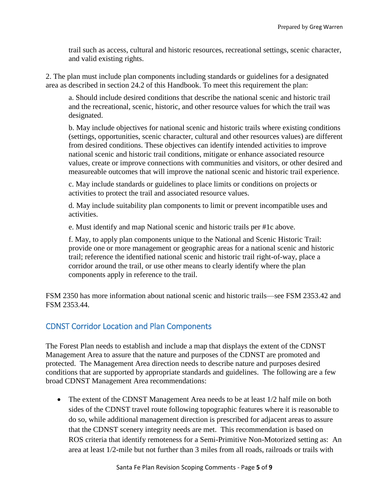trail such as access, cultural and historic resources, recreational settings, scenic character, and valid existing rights.

2. The plan must include plan components including standards or guidelines for a designated area as described in section 24.2 of this Handbook. To meet this requirement the plan:

a. Should include desired conditions that describe the national scenic and historic trail and the recreational, scenic, historic, and other resource values for which the trail was designated.

b. May include objectives for national scenic and historic trails where existing conditions (settings, opportunities, scenic character, cultural and other resources values) are different from desired conditions. These objectives can identify intended activities to improve national scenic and historic trail conditions, mitigate or enhance associated resource values, create or improve connections with communities and visitors, or other desired and measureable outcomes that will improve the national scenic and historic trail experience.

c. May include standards or guidelines to place limits or conditions on projects or activities to protect the trail and associated resource values.

d. May include suitability plan components to limit or prevent incompatible uses and activities.

e. Must identify and map National scenic and historic trails per #1c above.

f. May, to apply plan components unique to the National and Scenic Historic Trail: provide one or more management or geographic areas for a national scenic and historic trail; reference the identified national scenic and historic trail right-of-way, place a corridor around the trail, or use other means to clearly identify where the plan components apply in reference to the trail.

FSM 2350 has more information about national scenic and historic trails—see FSM 2353.42 and FSM 2353.44.

# <span id="page-4-0"></span>CDNST Corridor Location and Plan Components

The Forest Plan needs to establish and include a map that displays the extent of the CDNST Management Area to assure that the nature and purposes of the CDNST are promoted and protected. The Management Area direction needs to describe nature and purposes desired conditions that are supported by appropriate standards and guidelines. The following are a few broad CDNST Management Area recommendations:

• The extent of the CDNST Management Area needs to be at least 1/2 half mile on both sides of the CDNST travel route following topographic features where it is reasonable to do so, while additional management direction is prescribed for adjacent areas to assure that the CDNST scenery integrity needs are met. This recommendation is based on ROS criteria that identify remoteness for a Semi-Primitive Non-Motorized setting as: An area at least 1/2-mile but not further than 3 miles from all roads, railroads or trails with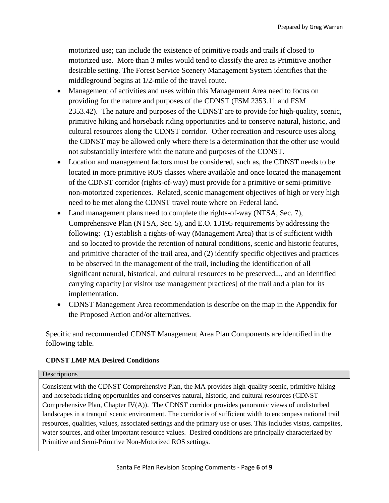motorized use; can include the existence of primitive roads and trails if closed to motorized use. More than 3 miles would tend to classify the area as Primitive another desirable setting. The Forest Service Scenery Management System identifies that the middleground begins at 1/2-mile of the travel route.

- Management of activities and uses within this Management Area need to focus on providing for the nature and purposes of the CDNST (FSM 2353.11 and FSM 2353.42). The nature and purposes of the CDNST are to provide for high-quality, scenic, primitive hiking and horseback riding opportunities and to conserve natural, historic, and cultural resources along the CDNST corridor. Other recreation and resource uses along the CDNST may be allowed only where there is a determination that the other use would not substantially interfere with the nature and purposes of the CDNST.
- Location and management factors must be considered, such as, the CDNST needs to be located in more primitive ROS classes where available and once located the management of the CDNST corridor (rights-of-way) must provide for a primitive or semi-primitive non-motorized experiences. Related, scenic management objectives of high or very high need to be met along the CDNST travel route where on Federal land.
- Land management plans need to complete the rights-of-way (NTSA, Sec. 7), Comprehensive Plan (NTSA, Sec. 5), and E.O. 13195 requirements by addressing the following: (1) establish a rights-of-way (Management Area) that is of sufficient width and so located to provide the retention of natural conditions, scenic and historic features, and primitive character of the trail area, and (2) identify specific objectives and practices to be observed in the management of the trail, including the identification of all significant natural, historical, and cultural resources to be preserved..., and an identified carrying capacity [or visitor use management practices] of the trail and a plan for its implementation.
- CDNST Management Area recommendation is describe on the map in the Appendix for the Proposed Action and/or alternatives.

Specific and recommended CDNST Management Area Plan Components are identified in the following table.

## **CDNST LMP MA Desired Conditions**

#### **Descriptions**

Consistent with the CDNST Comprehensive Plan, the MA provides high-quality scenic, primitive hiking and horseback riding opportunities and conserves natural, historic, and cultural resources (CDNST Comprehensive Plan, Chapter IV(A)). The CDNST corridor provides panoramic views of undisturbed landscapes in a tranquil scenic environment. The corridor is of sufficient width to encompass national trail resources, qualities, values, associated settings and the primary use or uses. This includes vistas, campsites, water sources, and other important resource values. Desired conditions are principally characterized by Primitive and Semi-Primitive Non-Motorized ROS settings.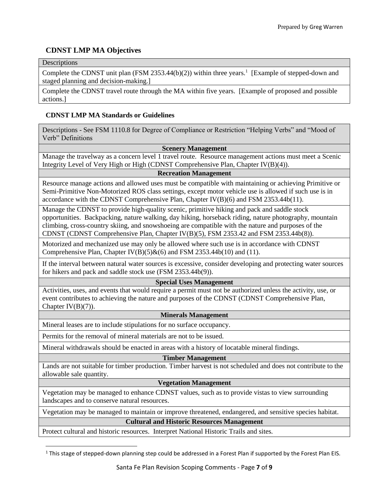## **CDNST LMP MA Objectives**

### **Descriptions**

 $\overline{\phantom{a}}$ 

Complete the CDNST unit plan (FSM 2353.44 $(b)(2)$ ) within three years.<sup>1</sup> [Example of stepped-down and staged planning and decision-making.]

Complete the CDNST travel route through the MA within five years. [Example of proposed and possible actions.]

### **CDNST LMP MA Standards or Guidelines**

Descriptions - See FSM 1110.8 for Degree of Compliance or Restriction "Helping Verbs" and "Mood of Verb" Definitions

#### **Scenery Management**

Manage the travelway as a concern level 1 travel route. Resource management actions must meet a Scenic Integrity Level of Very High or High (CDNST Comprehensive Plan, Chapter IV(B)(4)).

### **Recreation Management**

Resource manage actions and allowed uses must be compatible with maintaining or achieving Primitive or Semi-Primitive Non-Motorized ROS class settings, except motor vehicle use is allowed if such use is in accordance with the CDNST Comprehensive Plan, Chapter IV(B)(6) and FSM 2353.44b(11).

Manage the CDNST to provide high-quality scenic, primitive hiking and pack and saddle stock opportunities. Backpacking, nature walking, day hiking, horseback riding, nature photography, mountain climbing, cross-country skiing, and snowshoeing are compatible with the nature and purposes of the CDNST (CDNST Comprehensive Plan, Chapter IV(B)(5), FSM 2353.42 and FSM 2353.44b(8)).

Motorized and mechanized use may only be allowed where such use is in accordance with CDNST Comprehensive Plan, Chapter IV(B)(5)&(6) and FSM 2353.44b(10) and (11).

If the interval between natural water sources is excessive, consider developing and protecting water sources for hikers and pack and saddle stock use (FSM 2353.44b(9)).

#### **Special Uses Management**

Activities, uses, and events that would require a permit must not be authorized unless the activity, use, or event contributes to achieving the nature and purposes of the CDNST (CDNST Comprehensive Plan, Chapter  $IV(B)(7)$ ).

#### **Minerals Management**

Mineral leases are to include stipulations for no surface occupancy.

Permits for the removal of mineral materials are not to be issued.

Mineral withdrawals should be enacted in areas with a history of locatable mineral findings.

#### **Timber Management**

Lands are not suitable for timber production. Timber harvest is not scheduled and does not contribute to the allowable sale quantity.

#### **Vegetation Management**

Vegetation may be managed to enhance CDNST values, such as to provide vistas to view surrounding landscapes and to conserve natural resources.

Vegetation may be managed to maintain or improve threatened, endangered, and sensitive species habitat.

**Cultural and Historic Resources Management**

Protect cultural and historic resources. Interpret National Historic Trails and sites.

<sup>&</sup>lt;sup>1</sup> This stage of stepped-down planning step could be addressed in a Forest Plan if supported by the Forest Plan EIS.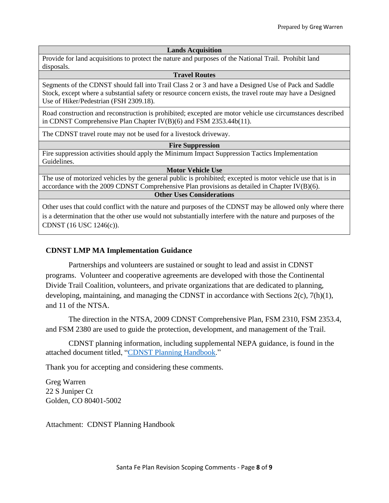#### **Lands Acquisition**

Provide for land acquisitions to protect the nature and purposes of the National Trail. Prohibit land disposals.

#### **Travel Routes**

Segments of the CDNST should fall into Trail Class 2 or 3 and have a Designed Use of Pack and Saddle Stock, except where a substantial safety or resource concern exists, the travel route may have a Designed Use of Hiker/Pedestrian (FSH 2309.18).

Road construction and reconstruction is prohibited; excepted are motor vehicle use circumstances described in CDNST Comprehensive Plan Chapter IV(B)(6) and FSM 2353.44b(11).

The CDNST travel route may not be used for a livestock driveway.

#### **Fire Suppression**

Fire suppression activities should apply the Minimum Impact Suppression Tactics Implementation Guidelines.

#### **Motor Vehicle Use**

The use of motorized vehicles by the general public is prohibited; excepted is motor vehicle use that is in accordance with the 2009 CDNST Comprehensive Plan provisions as detailed in Chapter IV(B)(6).

### **Other Uses Considerations**

Other uses that could conflict with the nature and purposes of the CDNST may be allowed only where there is a determination that the other use would not substantially interfere with the nature and purposes of the CDNST (16 USC 1246(c)).

### **CDNST LMP MA Implementation Guidance**

Partnerships and volunteers are sustained or sought to lead and assist in CDNST programs. Volunteer and cooperative agreements are developed with those the Continental Divide Trail Coalition, volunteers, and private organizations that are dedicated to planning, developing, maintaining, and managing the CDNST in accordance with Sections 2(c), 7(h)(1), and 11 of the NTSA.

The direction in the NTSA, 2009 CDNST Comprehensive Plan, FSM 2310, FSM 2353.4, and FSM 2380 are used to guide the protection, development, and management of the Trail.

CDNST planning information, including supplemental NEPA guidance, is found in the attached document titled, ["CDNST Planning Handbook.](http://nstrail.org/management/cdnst_legislative_history_land_management_plan_considerations.pdf)"

Thank you for accepting and considering these comments.

Greg Warren 22 S Juniper Ct Golden, CO 80401-5002

Attachment: CDNST Planning Handbook